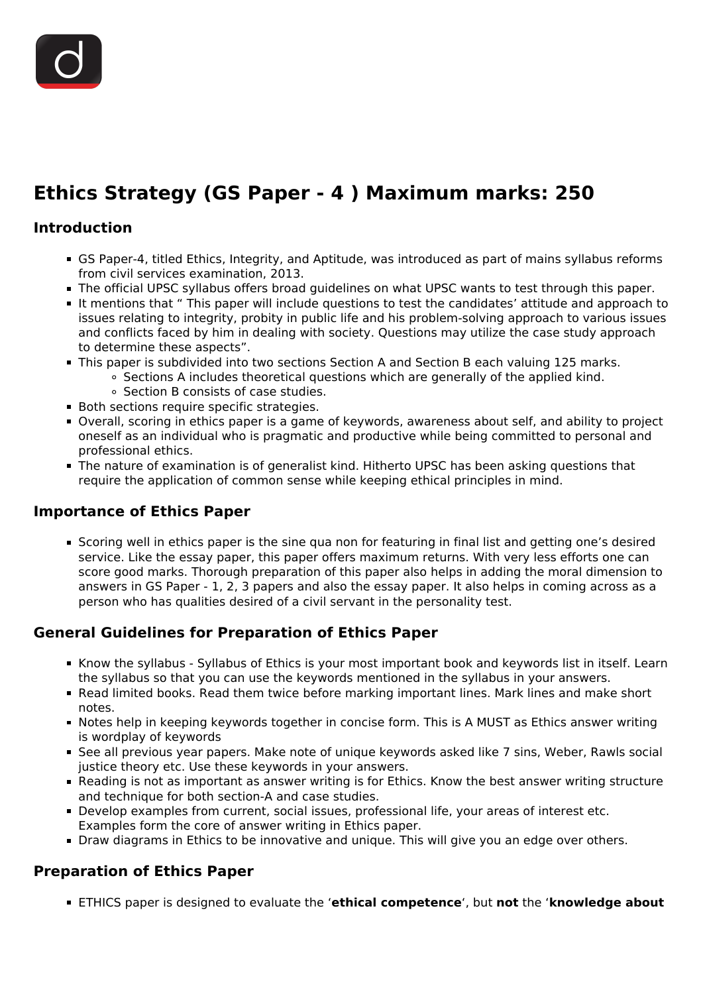# **Ethics Strategy (GS Paper - 4 ) Maximum marks: 250**

## **Introduction**

- GS Paper-4, titled Ethics, Integrity, and Aptitude, was introduced as part of mains syllabus reforms from civil services examination, 2013.
- The official UPSC syllabus offers broad guidelines on what UPSC wants to test through this paper.
- It mentions that " This paper will include questions to test the candidates' attitude and approach to issues relating to integrity, probity in public life and his problem-solving approach to various issues and conflicts faced by him in dealing with society. Questions may utilize the case study approach to determine these aspects".
- This paper is subdivided into two sections Section A and Section B each valuing 125 marks.
	- $\circ$  Sections A includes theoretical questions which are generally of the applied kind.
	- Section B consists of case studies.
- Both sections require specific strategies.
- Overall, scoring in ethics paper is a game of keywords, awareness about self, and ability to project oneself as an individual who is pragmatic and productive while being committed to personal and professional ethics.
- The nature of examination is of generalist kind. Hitherto UPSC has been asking questions that require the application of common sense while keeping ethical principles in mind.

### **Importance of Ethics Paper**

Scoring well in ethics paper is the sine qua non for featuring in final list and getting one's desired service. Like the essay paper, this paper offers maximum returns. With very less efforts one can score good marks. Thorough preparation of this paper also helps in adding the moral dimension to answers in GS Paper - 1, 2, 3 papers and also the essay paper. It also helps in coming across as a person who has qualities desired of a civil servant in the personality test.

# **General Guidelines for Preparation of Ethics Paper**

- Know the syllabus Syllabus of Ethics is your most important book and keywords list in itself. Learn the syllabus so that you can use the keywords mentioned in the syllabus in your answers.
- Read limited books. Read them twice before marking important lines. Mark lines and make short notes.
- Notes help in keeping keywords together in concise form. This is A MUST as Ethics answer writing is wordplay of keywords
- See all previous year papers. Make note of unique keywords asked like 7 sins, Weber, Rawls social justice theory etc. Use these keywords in your answers.
- Reading is not as important as answer writing is for Ethics. Know the best answer writing structure and technique for both section-A and case studies.
- Develop examples from current, social issues, professional life, your areas of interest etc. Examples form the core of answer writing in Ethics paper.
- **Draw diagrams in Ethics to be innovative and unique. This will give you an edge over others.**

# **Preparation of Ethics Paper**

ETHICS paper is designed to evaluate the '**ethical competence**', but **not** the '**knowledge about**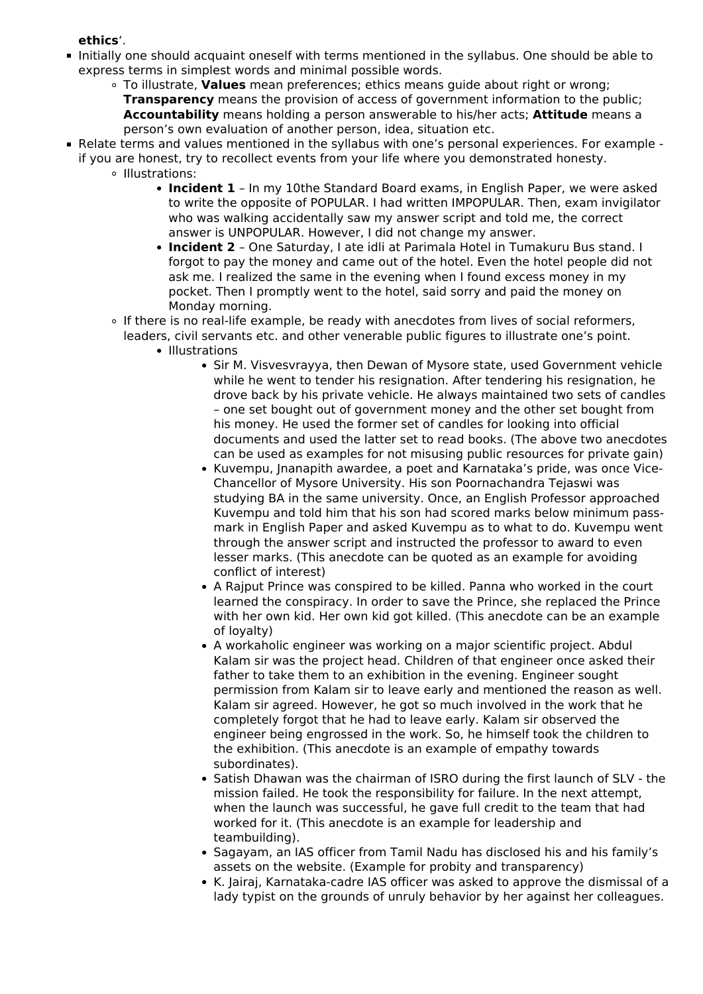#### **ethics**'.

- Initially one should acquaint oneself with terms mentioned in the syllabus. One should be able to express terms in simplest words and minimal possible words.
	- To illustrate, **Values** mean preferences; ethics means guide about right or wrong; **Transparency** means the provision of access of government information to the public; **Accountability** means holding a person answerable to his/her acts; **Attitude** means a person's own evaluation of another person, idea, situation etc.
- Relate terms and values mentioned in the syllabus with one's personal experiences. For example if you are honest, try to recollect events from your life where you demonstrated honesty.
	- o Illustrations:
		- **Incident 1** In my 10the Standard Board exams, in English Paper, we were asked to write the opposite of POPULAR. I had written IMPOPULAR. Then, exam invigilator who was walking accidentally saw my answer script and told me, the correct answer is UNPOPULAR. However, I did not change my answer.
		- **Incident 2** One Saturday, I ate idli at Parimala Hotel in Tumakuru Bus stand. I forgot to pay the money and came out of the hotel. Even the hotel people did not ask me. I realized the same in the evening when I found excess money in my pocket. Then I promptly went to the hotel, said sorry and paid the money on Monday morning.
	- If there is no real-life example, be ready with anecdotes from lives of social reformers, leaders, civil servants etc. and other venerable public figures to illustrate one's point.
		- Illustrations
			- Sir M. Visvesvrayya, then Dewan of Mysore state, used Government vehicle while he went to tender his resignation. After tendering his resignation, he drove back by his private vehicle. He always maintained two sets of candles – one set bought out of government money and the other set bought from his money. He used the former set of candles for looking into official documents and used the latter set to read books. (The above two anecdotes can be used as examples for not misusing public resources for private gain)
			- Kuvempu, Jnanapith awardee, a poet and Karnataka's pride, was once Vice-Chancellor of Mysore University. His son Poornachandra Tejaswi was studying BA in the same university. Once, an English Professor approached Kuvempu and told him that his son had scored marks below minimum passmark in English Paper and asked Kuvempu as to what to do. Kuvempu went through the answer script and instructed the professor to award to even lesser marks. (This anecdote can be quoted as an example for avoiding conflict of interest)
			- A Rajput Prince was conspired to be killed. Panna who worked in the court learned the conspiracy. In order to save the Prince, she replaced the Prince with her own kid. Her own kid got killed. (This anecdote can be an example of loyalty)
			- A workaholic engineer was working on a major scientific project. Abdul Kalam sir was the project head. Children of that engineer once asked their father to take them to an exhibition in the evening. Engineer sought permission from Kalam sir to leave early and mentioned the reason as well. Kalam sir agreed. However, he got so much involved in the work that he completely forgot that he had to leave early. Kalam sir observed the engineer being engrossed in the work. So, he himself took the children to the exhibition. (This anecdote is an example of empathy towards subordinates).
			- Satish Dhawan was the chairman of ISRO during the first launch of SLV the mission failed. He took the responsibility for failure. In the next attempt, when the launch was successful, he gave full credit to the team that had worked for it. (This anecdote is an example for leadership and teambuilding).
			- Sagayam, an IAS officer from Tamil Nadu has disclosed his and his family's assets on the website. (Example for probity and transparency)
			- K. Jairaj, Karnataka-cadre IAS officer was asked to approve the dismissal of a lady typist on the grounds of unruly behavior by her against her colleagues.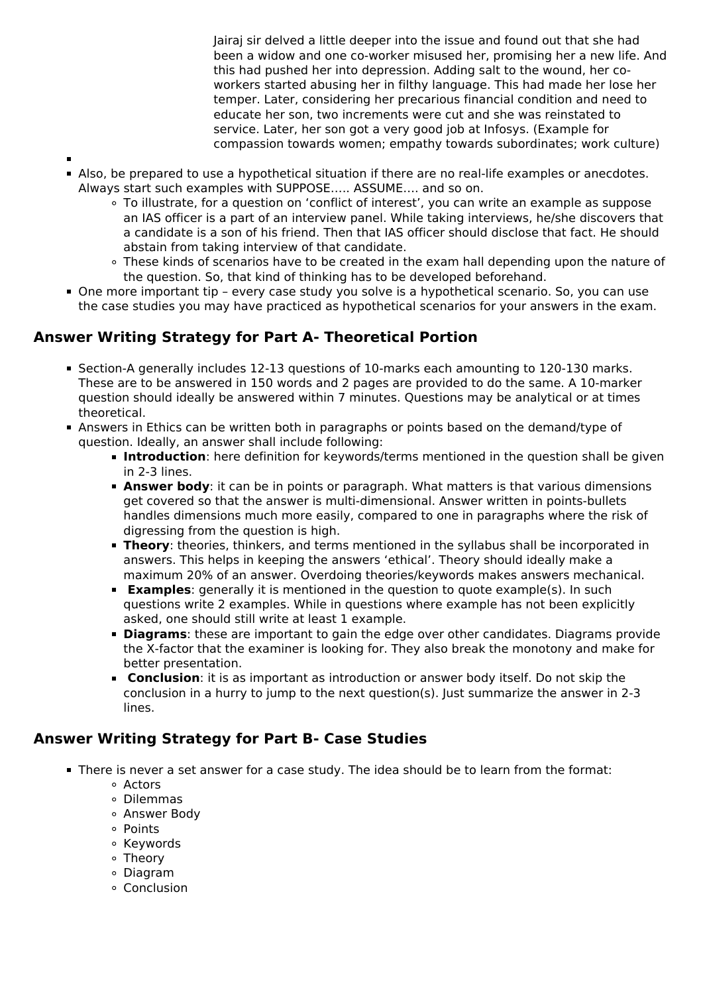Jairaj sir delved a little deeper into the issue and found out that she had been a widow and one co-worker misused her, promising her a new life. And this had pushed her into depression. Adding salt to the wound, her coworkers started abusing her in filthy language. This had made her lose her temper. Later, considering her precarious financial condition and need to educate her son, two increments were cut and she was reinstated to service. Later, her son got a very good job at Infosys. (Example for compassion towards women; empathy towards subordinates; work culture)

- 
- Also, be prepared to use a hypothetical situation if there are no real-life examples or anecdotes. Always start such examples with SUPPOSE….. ASSUME…. and so on.
	- To illustrate, for a question on 'conflict of interest', you can write an example as suppose an IAS officer is a part of an interview panel. While taking interviews, he/she discovers that a candidate is a son of his friend. Then that IAS officer should disclose that fact. He should abstain from taking interview of that candidate.
	- These kinds of scenarios have to be created in the exam hall depending upon the nature of the question. So, that kind of thinking has to be developed beforehand.
- One more important tip every case study you solve is a hypothetical scenario. So, you can use the case studies you may have practiced as hypothetical scenarios for your answers in the exam.

# **Answer Writing Strategy for Part A- Theoretical Portion**

- Section-A generally includes 12-13 questions of 10-marks each amounting to 120-130 marks. These are to be answered in 150 words and 2 pages are provided to do the same. A 10-marker question should ideally be answered within 7 minutes. Questions may be analytical or at times theoretical.
- Answers in Ethics can be written both in paragraphs or points based on the demand/type of question. Ideally, an answer shall include following:
	- **Introduction**: here definition for keywords/terms mentioned in the question shall be given in 2-3 lines.
	- **Answer body**: it can be in points or paragraph. What matters is that various dimensions get covered so that the answer is multi-dimensional. Answer written in points-bullets handles dimensions much more easily, compared to one in paragraphs where the risk of digressing from the question is high.
	- **Theory**: theories, thinkers, and terms mentioned in the syllabus shall be incorporated in answers. This helps in keeping the answers 'ethical'. Theory should ideally make a maximum 20% of an answer. Overdoing theories/keywords makes answers mechanical.
	- **Examples**: generally it is mentioned in the question to quote example(s). In such questions write 2 examples. While in questions where example has not been explicitly asked, one should still write at least 1 example.
	- **Diagrams**: these are important to gain the edge over other candidates. Diagrams provide the X-factor that the examiner is looking for. They also break the monotony and make for better presentation.
	- **Conclusion**: it is as important as introduction or answer body itself. Do not skip the conclusion in a hurry to jump to the next question(s). Just summarize the answer in 2-3 lines.

# **Answer Writing Strategy for Part B- Case Studies**

- There is never a set answer for a case study. The idea should be to learn from the format:
	- Actors
	- Dilemmas
	- Answer Body
	- Points
	- ∘ Keywords
	- Theory
	- Diagram
	- Conclusion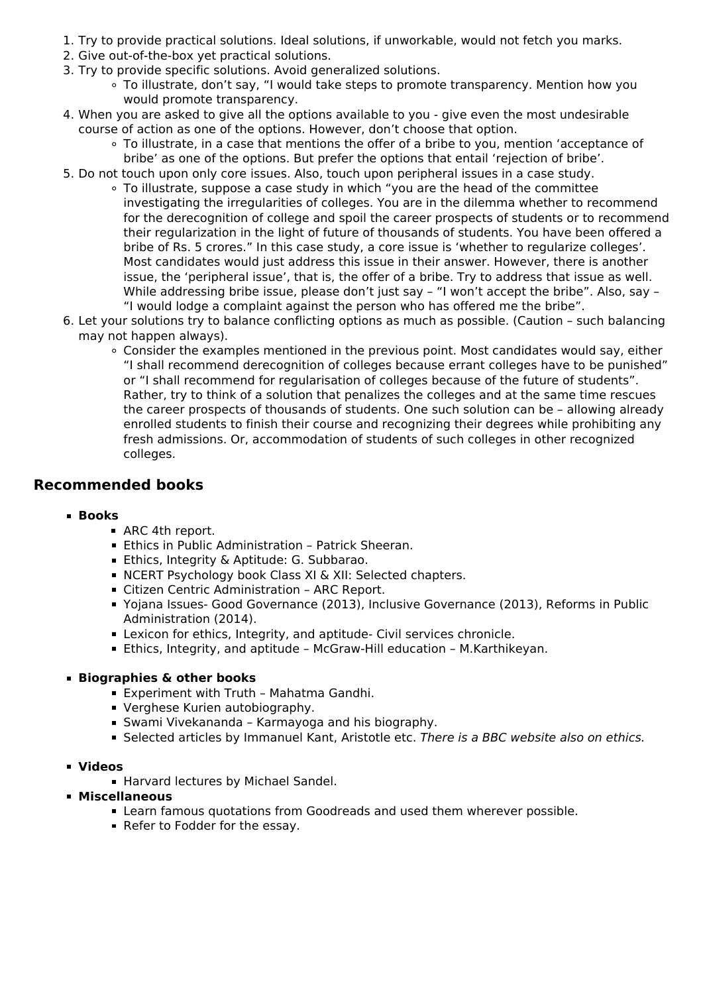- 1. Try to provide practical solutions. Ideal solutions, if unworkable, would not fetch you marks.
- 2. Give out-of-the-box yet practical solutions.
- 3. Try to provide specific solutions. Avoid generalized solutions.
	- To illustrate, don't say, "I would take steps to promote transparency. Mention how you would promote transparency.
- 4. When you are asked to give all the options available to you give even the most undesirable course of action as one of the options. However, don't choose that option.
	- To illustrate, in a case that mentions the offer of a bribe to you, mention 'acceptance of bribe' as one of the options. But prefer the options that entail 'rejection of bribe'.
- 5. Do not touch upon only core issues. Also, touch upon peripheral issues in a case study.
	- To illustrate, suppose a case study in which "you are the head of the committee investigating the irregularities of colleges. You are in the dilemma whether to recommend for the derecognition of college and spoil the career prospects of students or to recommend their regularization in the light of future of thousands of students. You have been offered a bribe of Rs. 5 crores." In this case study, a core issue is 'whether to regularize colleges'. Most candidates would just address this issue in their answer. However, there is another issue, the 'peripheral issue', that is, the offer of a bribe. Try to address that issue as well. While addressing bribe issue, please don't just say - "I won't accept the bribe". Also, say -"I would lodge a complaint against the person who has offered me the bribe".
- 6. Let your solutions try to balance conflicting options as much as possible. (Caution such balancing may not happen always).
	- Consider the examples mentioned in the previous point. Most candidates would say, either "I shall recommend derecognition of colleges because errant colleges have to be punished" or "I shall recommend for regularisation of colleges because of the future of students". Rather, try to think of a solution that penalizes the colleges and at the same time rescues the career prospects of thousands of students. One such solution can be – allowing already enrolled students to finish their course and recognizing their degrees while prohibiting any fresh admissions. Or, accommodation of students of such colleges in other recognized colleges.

#### **Recommended books**

#### **Books**

- ARC 4th report.
- Ethics in Public Administration Patrick Sheeran.
- **Ethics, Integrity & Aptitude: G. Subbarao.**
- NCERT Psychology book Class XI & XII: Selected chapters.
- Citizen Centric Administration ARC Report.
- Yojana Issues- Good Governance (2013), Inclusive Governance (2013), Reforms in Public Administration (2014).
- Lexicon for ethics, Integrity, and aptitude- Civil services chronicle.
- Ethics, Integrity, and aptitude McGraw-Hill education M.Karthikeyan.

#### **Biographies & other books**

- Experiment with Truth Mahatma Gandhi.
- Verghese Kurien autobiography.
- Swami Vivekananda Karmayoga and his biography.
- Selected articles by Immanuel Kant, Aristotle etc. *There is a BBC website also on ethics.*

#### **Videos**

- **Harvard lectures by Michael Sandel.**
- **Miscellaneous**
	- Learn famous quotations from Goodreads and used them wherever possible.
	- Refer to Fodder for the essay.